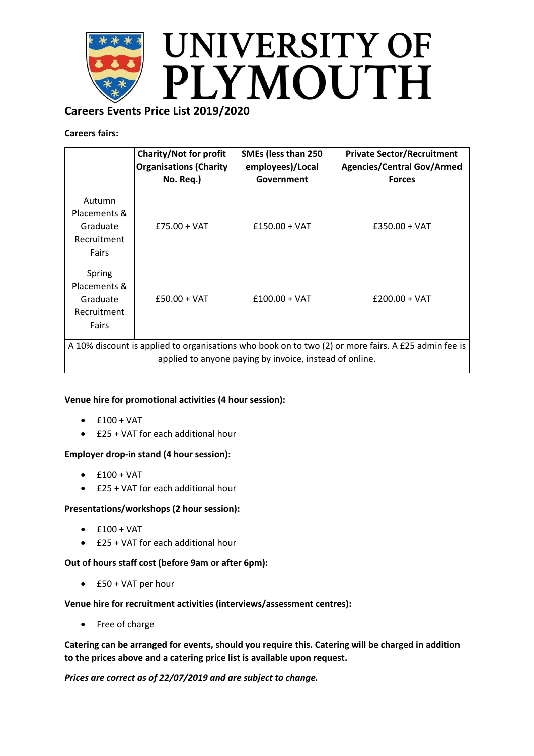

# **Careers Events Price List 2019/2020**

## **Careers fairs:**

|                                                                                                                                                                | <b>Charity/Not for profit</b><br><b>Organisations (Charity)</b><br>No. Req.) | SMEs (less than 250<br>employees)/Local<br>Government | <b>Private Sector/Recruitment</b><br><b>Agencies/Central Gov/Armed</b><br><b>Forces</b> |
|----------------------------------------------------------------------------------------------------------------------------------------------------------------|------------------------------------------------------------------------------|-------------------------------------------------------|-----------------------------------------------------------------------------------------|
| Autumn<br>Placements &<br>Graduate<br>Recruitment<br>Fairs                                                                                                     | $£75.00 + VAT$                                                               | $£150.00 + VAT$                                       | $£350.00 + VAT$                                                                         |
| Spring<br>Placements &<br>Graduate<br>Recruitment<br>Fairs                                                                                                     | $£50.00 + VAT$                                                               | $£100.00 + VAT$                                       | $£200.00 + VAT$                                                                         |
| A 10% discount is applied to organisations who book on to two (2) or more fairs. A £25 admin fee is<br>applied to anyone paying by invoice, instead of online. |                                                                              |                                                       |                                                                                         |

### **Venue hire for promotional activities (4 hour session):**

- $•$   $f100 + VAT$
- £25 + VAT for each additional hour

### **Employer drop-in stand (4 hour session):**

- $\bullet$  £100 + VAT
- £25 + VAT for each additional hour

### **Presentations/workshops (2 hour session):**

- $\bullet$  £100 + VAT
- £25 + VAT for each additional hour

### **Out of hours staff cost (before 9am or after 6pm):**

£50 + VAT per hour

### **Venue hire for recruitment activities (interviews/assessment centres):**

• Free of charge

**Catering can be arranged for events, should you require this. Catering will be charged in addition to the prices above and a catering price list is available upon request.**

*Prices are correct as of 22/07/2019 and are subject to change.*